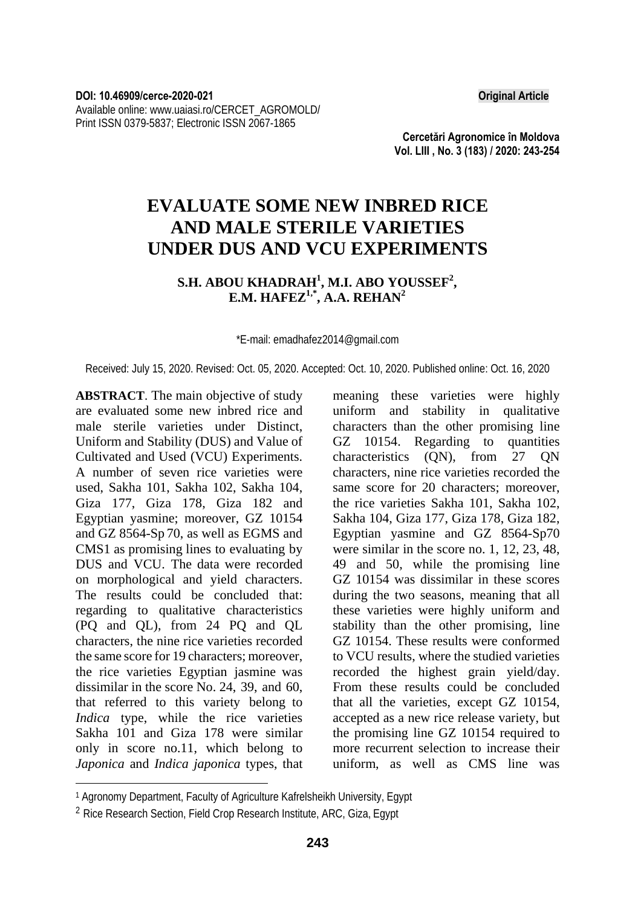**Cercetări Agronomice în Moldova Vol. LIII , No. 3 (183) / 2020: 243-254** 

## **EVALUATE SOME NEW INBRED RICE AND MALE STERILE VARIETIES UNDER DUS AND VCU EXPERIMENTS**

## S.H. ABOU KHADRAH<sup>1</sup>, M.I. ABO YOUSSEF<sup>2</sup>, **E.M. HAFEZ1,\*, A.A. REHAN2**

\*E-mail: emadhafez2014@gmail.com

#### Received: July 15, 2020. Revised: Oct. 05, 2020. Accepted: Oct. 10, 2020. Published online: Oct. 16, 2020

**ABSTRACT**. The main objective of study are evaluated some new inbred rice and male sterile varieties under Distinct, Uniform and Stability (DUS) and Value of Cultivated and Used (VCU) Experiments. A number of seven rice varieties were used, Sakha 101, Sakha 102, Sakha 104, Giza 177, Giza 178, Giza 182 and Egyptian yasmine; moreover, GZ 10154 and GZ 8564-Sp 70, as well as EGMS and CMS1 as promising lines to evaluating by DUS and VCU. The data were recorded on morphological and yield characters. The results could be concluded that: regarding to qualitative characteristics (PQ and QL), from 24 PQ and QL characters, the nine rice varieties recorded the same score for 19 characters; moreover, the rice varieties Egyptian jasmine was dissimilar in the score No. 24, 39, and 60, that referred to this variety belong to *Indica* type, while the rice varieties Sakha 101 and Giza 178 were similar only in score no.11, which belong to *Japonica* and *Indica japonica* types, that

l

meaning these varieties were highly uniform and stability in qualitative characters than the other promising line GZ 10154. Regarding to quantities characteristics (QN), from 27 QN characters, nine rice varieties recorded the same score for 20 characters; moreover, the rice varieties Sakha 101, Sakha 102, Sakha 104, Giza 177, Giza 178, Giza 182, Egyptian yasmine and GZ 8564-Sp70 were similar in the score no. 1, 12, 23, 48, 49 and 50, while the promising line GZ 10154 was dissimilar in these scores during the two seasons, meaning that all these varieties were highly uniform and stability than the other promising, line GZ 10154. These results were conformed to VCU results, where the studied varieties recorded the highest grain yield/day. From these results could be concluded that all the varieties, except GZ 10154, accepted as a new rice release variety, but the promising line GZ 10154 required to more recurrent selection to increase their uniform, as well as CMS line was

<sup>1</sup> Agronomy Department, Faculty of Agriculture Kafrelsheikh University, Egypt

<sup>2</sup> Rice Research Section, Field Crop Research Institute, ARC, Giza, Egypt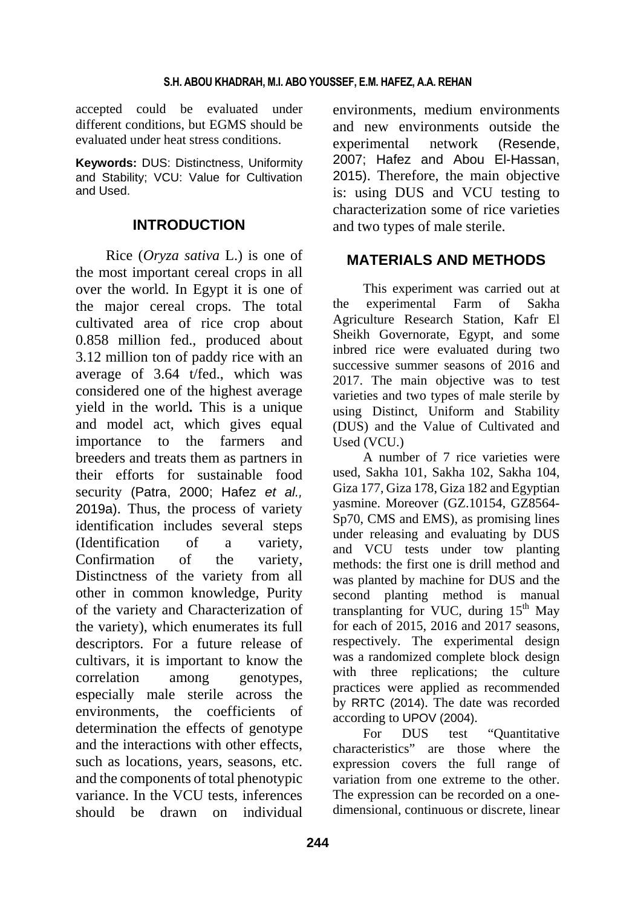accepted could be evaluated under different conditions, but EGMS should be evaluated under heat stress conditions.

**Keywords:** DUS: Distinctness, Uniformity and Stability; VCU: Value for Cultivation and Used.

## **INTRODUCTION**

Rice (*Oryza sativa* L.) is one of the most important cereal crops in all over the world. In Egypt it is one of the major cereal crops. The total cultivated area of rice crop about 0.858 million fed., produced about 3.12 million ton of paddy rice with an average of 3.64 t/fed., which was considered one of the highest average yield in the world**.** This is a unique and model act, which gives equal importance to the farmers and breeders and treats them as partners in their efforts for sustainable food security (Patra, 2000; Hafez *et al.,* 2019a). Thus, the process of variety identification includes several steps (Identification of a variety, Confirmation of the variety, Distinctness of the variety from all other in common knowledge, Purity of the variety and Characterization of the variety), which enumerates its full descriptors. For a future release of cultivars, it is important to know the correlation among genotypes, especially male sterile across the environments, the coefficients of determination the effects of genotype and the interactions with other effects, such as locations, years, seasons, etc. and the components of total phenotypic variance. In the VCU tests, inferences should be drawn on individual

environments, medium environments and new environments outside the experimental network (Resende, 2007; Hafez and Abou El-Hassan, 2015). Therefore, the main objective is: using DUS and VCU testing to characterization some of rice varieties and two types of male sterile.

## **MATERIALS AND METHODS**

This experiment was carried out at the experimental Farm of Sakha Agriculture Research Station, Kafr El Sheikh Governorate, Egypt, and some inbred rice were evaluated during two successive summer seasons of 2016 and 2017. The main objective was to test varieties and two types of male sterile by using Distinct, Uniform and Stability (DUS) and the Value of Cultivated and Used (VCU.)

A number of 7 rice varieties were used, Sakha 101, Sakha 102, Sakha 104, Giza 177, Giza 178, Giza 182 and Egyptian yasmine. Moreover (GZ.10154, GZ8564- Sp70, CMS and EMS), as promising lines under releasing and evaluating by DUS and VCU tests under tow planting methods: the first one is drill method and was planted by machine for DUS and the second planting method is manual transplanting for VUC, during  $15<sup>th</sup>$  May for each of 2015, 2016 and 2017 seasons, respectively. The experimental design was a randomized complete block design with three replications; the culture practices were applied as recommended by RRTC (2014). The date was recorded according to UPOV (2004).

For DUS test "Quantitative characteristics" are those where the expression covers the full range of variation from one extreme to the other. The expression can be recorded on a onedimensional, continuous or discrete, linear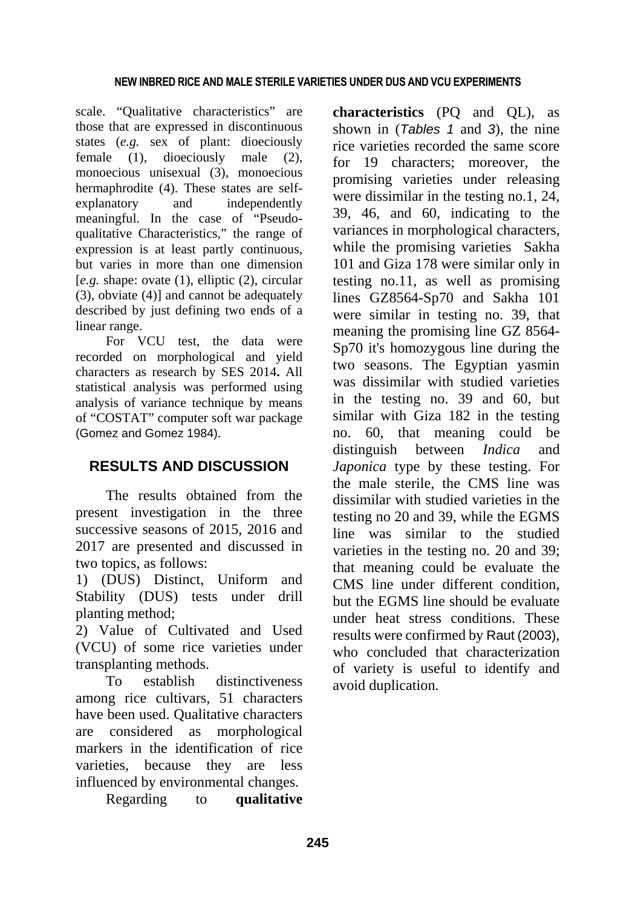scale. "Qualitative characteristics" are those that are expressed in discontinuous states (*e.g.* sex of plant: dioeciously female (1), dioeciously male (2), monoecious unisexual (3), monoecious hermaphrodite (4). These states are selfexplanatory and independently meaningful. In the case of "Pseudoqualitative Characteristics," the range of expression is at least partly continuous, but varies in more than one dimension [*e.g.* shape: ovate (1), elliptic (2), circular (3), obviate (4)] and cannot be adequately described by just defining two ends of a linear range.

For VCU test, the data were recorded on morphological and yield characters as research by SES 2014**.** All statistical analysis was performed using analysis of variance technique by means of "COSTAT" computer soft war package (Gomez and Gomez 1984).

## **RESULTS AND DISCUSSION**

The results obtained from the present investigation in the three successive seasons of 2015, 2016 and 2017 are presented and discussed in two topics, as follows:

1) (DUS) Distinct, Uniform and Stability (DUS) tests under drill planting method;

2) Value of Cultivated and Used (VCU) of some rice varieties under transplanting methods.

To establish distinctiveness among rice cultivars, 51 characters have been used. Qualitative characters are considered as morphological markers in the identification of rice varieties, because they are less influenced by environmental changes.

Regarding to **qualitative** 

**characteristics** (PQ and QL), as shown in (*Tables 1* and *3*), the nine rice varieties recorded the same score for 19 characters; moreover, the promising varieties under releasing were dissimilar in the testing no.1, 24, 39, 46, and 60, indicating to the variances in morphological characters, while the promising varieties Sakha 101 and Giza 178 were similar only in testing no.11, as well as promising lines GZ8564-Sp70 and Sakha 101 were similar in testing no. 39, that meaning the promising line GZ 8564- Sp70 it's homozygous line during the two seasons. The Egyptian yasmin was dissimilar with studied varieties in the testing no. 39 and 60, but similar with Giza 182 in the testing no. 60, that meaning could be distinguish between *Indica* and *Japonica* type by these testing. For the male sterile, the CMS line was dissimilar with studied varieties in the testing no 20 and 39, while the EGMS line was similar to the studied varieties in the testing no. 20 and 39; that meaning could be evaluate the CMS line under different condition, but the EGMS line should be evaluate under heat stress conditions. These results were confirmed by Raut (2003), who concluded that characterization of variety is useful to identify and avoid duplication.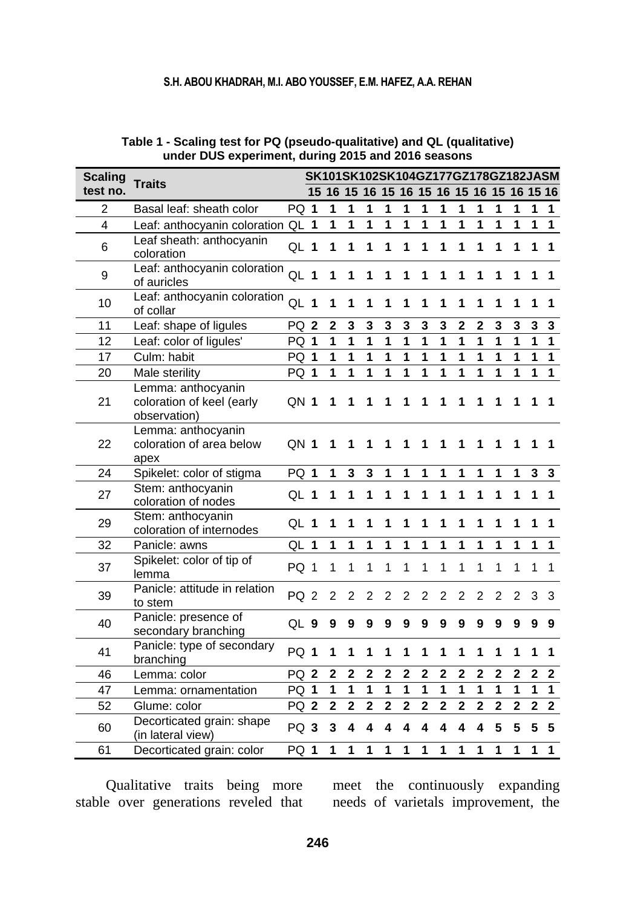### **S.H. ABOU KHADRAH, M.I. ABO YOUSSEF, E.M. HAFEZ, A.A. REHAN**

| <b>Scaling</b>          | <b>Traits</b>                                                   |                 |                |                         |                |                |                                        |                |                |                |                |                |                |                         |                | SK101SK102SK104GZ177GZ178GZ182JASM |
|-------------------------|-----------------------------------------------------------------|-----------------|----------------|-------------------------|----------------|----------------|----------------------------------------|----------------|----------------|----------------|----------------|----------------|----------------|-------------------------|----------------|------------------------------------|
| test no.                |                                                                 |                 | 15             |                         |                |                | 16 15 16 15 16 15 16 15 16 15 16 15 16 |                |                |                |                |                |                |                         |                |                                    |
| 2                       | Basal leaf: sheath color                                        | PQ 1            |                | 1                       | 1              | 1              | 1                                      | 1              | 1              | 1              | 1              | 1              | 1              | 1                       | 1              | 1                                  |
| $\overline{\mathbf{4}}$ | Leaf: anthocyanin coloration QL 1                               |                 |                | 1                       | 1              | 1              | 1                                      | 1              | 1              | 1              | 1              | 1              | 1              | 1                       | 1              | $\mathbf{1}$                       |
| 6                       | Leaf sheath: anthocyanin<br>coloration                          | QL 1            |                | 1                       | 1              | 1              | 1                                      | 1              | 1              | 1              | 1              | 1              | 1              | 1                       | 1              | 1                                  |
| 9                       | Leaf: anthocyanin coloration<br>of auricles                     | QL 1            |                | 1                       | 1              | 1              | 1                                      | 1              | 1              | 1              | 1              | 1              | 1              | 1                       | 1              | 1                                  |
| 10                      | Leaf: anthocyanin coloration<br>of collar                       | QL              | $\overline{1}$ | 1                       | 1              | 1              | 1                                      | 1              | 1              | 1              | 1              | 1              | 1              | 1                       | 1              | 1                                  |
| 11                      | Leaf: shape of ligules                                          | PQ <sub>2</sub> |                | $\mathbf 2$             | 3              | 3              | 3                                      | 3              | 3              | 3              | $\overline{2}$ | $\mathbf{2}$   | 3              | 3                       | 3              | 3                                  |
| 12                      | Leaf: color of ligules'                                         | <b>PQ 1</b>     |                | 1                       | 1              | 1              | 1                                      | 1              | 1              | 1              | 1              | 1              | 1              | 1                       | 1              | $\overline{1}$                     |
| 17                      | Culm: habit                                                     | <b>PQ 1</b>     |                | 1                       | 1              | 1              | 1                                      | 1              | 1              | 1              | 1              | 1              | 1              | 1                       | 1              | 1                                  |
| 20                      | Male sterility                                                  | PQ 1            |                | 1                       | 1              | 1              | $\overline{1}$                         | 1              | 1              | 1              | 1              | 1              | 1              | 1                       | 1              | $\overline{1}$                     |
| 21                      | Lemma: anthocyanin<br>coloration of keel (early<br>observation) | QN <sub>1</sub> |                | 1                       | 1              | 1              | 1                                      | 1              | 1              | 1              | 1              | 1              | 1              | 1                       | 1              | 1                                  |
| 22                      | Lemma: anthocyanin<br>coloration of area below<br>apex          | QN 1            |                | 1                       | 1              | 1              | 1                                      | 1              | 1              | 1              | 1              | 1              | 1              | 1                       | 1              | 1                                  |
| 24                      | Spikelet: color of stigma                                       | PQ 1            |                | 1                       | 3              | 3              | 1                                      | 1              | 1              | 1              | 1              | 1              | 1              | 1                       | 3              | 3                                  |
| 27                      | Stem: anthocyanin<br>coloration of nodes                        | QL 1            |                | 1                       | 1              | 1              | 1                                      | 1              | 1              | 1              | 1              | 1              | 1              | 1                       | 1              | 1                                  |
| 29                      | Stem: anthocyanin<br>coloration of internodes                   | QL 1            |                | 1                       | 1              | 1              | 1                                      | 1              | 1              | 1              | 1              | 1              | 1              | 1                       | 1              | 1                                  |
| 32                      | Panicle: awns                                                   | QL              | 1              | 1                       | 1              | 1              | 1                                      | 1              | 1              | 1              | 1              | 1              | 1              | 1                       | 1              | 1                                  |
| 37                      | Spikelet: color of tip of<br>lemma                              | PQ 1            |                | 1                       | 1              | 1              | 1                                      | 1              | 1              | 1              | 1              | 1              | 1              | 1                       | 1              | 1                                  |
| 39                      | Panicle: attitude in relation<br>to stem                        | PQ <sub>2</sub> |                | $\overline{c}$          | $\overline{2}$ | 2              | $\overline{2}$                         | 2              | 2              | $\overline{2}$ | 2              | $\overline{2}$ | 2              | 2                       | 3              | 3                                  |
| 40                      | Panicle: presence of<br>secondary branching                     | QL 9            |                | 9                       | 9              | 9              | 9                                      | 9              | 9              | 9              | 9              | 9              | 9              | 9                       | 9              | 9                                  |
| 41                      | Panicle: type of secondary<br>branching                         | PQ 1            |                | 1                       | 1              | 1              | 1                                      | 1              | 1              | 1              | 1              | 1              | 1              | 1                       | 1              | 1                                  |
| 46                      | Lemma: color                                                    | PQ <sub>2</sub> |                | 2                       | $\mathbf{2}$   | 2              | $\mathbf{2}$                           | 2              | 2              | 2              | 2              | $\overline{2}$ | 2              | 2                       | $\mathbf{2}$   | $\mathbf{2}$                       |
| 47                      | Lemma: ornamentation                                            | <b>PQ 1</b>     |                | 1                       | 1              | 1              | 1                                      | 1              | 1              | 1              | 1              | 1              | 1              | 1                       | 1              | 1                                  |
| 52                      | Glume: color                                                    | PQ <sub>2</sub> |                | $\overline{\mathbf{2}}$ | $\mathbf{2}$   | $\overline{2}$ | $\overline{\mathbf{2}}$                | $\overline{2}$ | $\overline{2}$ | $\overline{2}$ | $\overline{2}$ | $\overline{2}$ | $\overline{2}$ | $\overline{\mathbf{2}}$ | $\overline{2}$ | $\overline{\mathbf{2}}$            |
| 60                      | Decorticated grain: shape<br>(in lateral view)                  | PQ <sub>3</sub> |                | 3                       | 4              | 4              | 4                                      | 4              | 4              | 4              | 4              | 4              | 5              | 5                       | 5              | 5                                  |
| 61                      | Decorticated grain: color                                       | PQ 1            |                | 1                       | 1              | 1              | 1                                      | 1              | 1              | 1              | 1              | 1              | 1              | 1                       | 1              | 1                                  |

### **Table 1 - Scaling test for PQ (pseudo-qualitative) and QL (qualitative) under DUS experiment, during 2015 and 2016 seasons**

Qualitative traits being more stable over generations reveled that

meet the continuously expanding needs of varietals improvement, the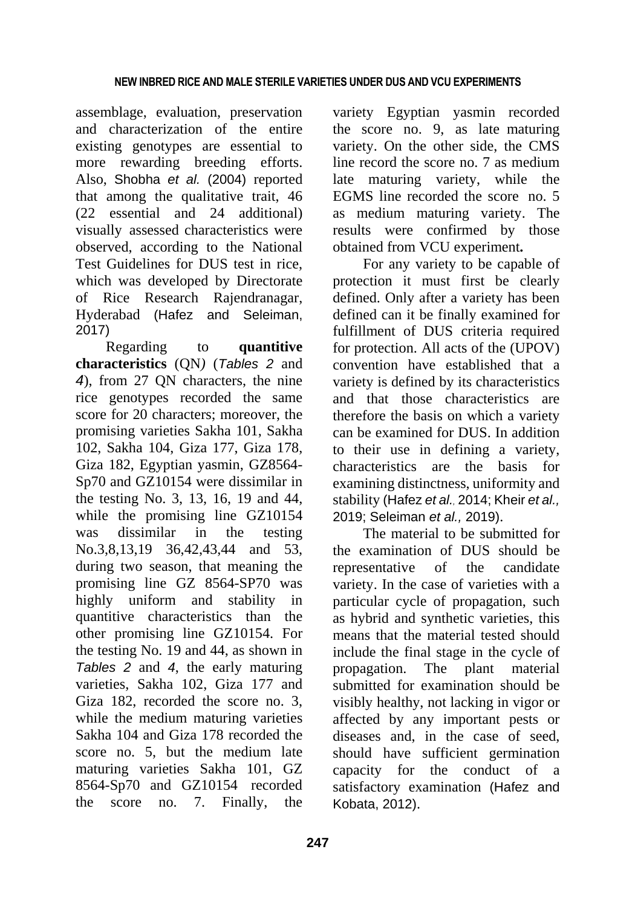assemblage, evaluation, preservation and characterization of the entire existing genotypes are essential to more rewarding breeding efforts. Also, Shobha *et al.* (2004) reported that among the qualitative trait, 46 (22 essential and 24 additional) visually assessed characteristics were observed, according to the National Test Guidelines for DUS test in rice, which was developed by Directorate of Rice Research Rajendranagar, Hyderabad (Hafez and Seleiman, 2017)

Regarding to **quantitive characteristics** (QN*)* (*Tables 2* and *4*), from 27 QN characters, the nine rice genotypes recorded the same score for 20 characters; moreover, the promising varieties Sakha 101, Sakha 102, Sakha 104, Giza 177, Giza 178, Giza 182, Egyptian yasmin, GZ8564- Sp70 and GZ10154 were dissimilar in the testing No. 3, 13, 16, 19 and 44, while the promising line GZ10154 was dissimilar in the testing No.3,8,13,19 36,42,43,44 and 53, during two season, that meaning the promising line GZ 8564-SP70 was highly uniform and stability in quantitive characteristics than the other promising line GZ10154. For the testing No. 19 and 44, as shown in *Tables 2* and *4*, the early maturing varieties, Sakha 102, Giza 177 and Giza 182, recorded the score no. 3, while the medium maturing varieties Sakha 104 and Giza 178 recorded the score no. 5, but the medium late maturing varieties Sakha 101, GZ 8564-Sp70 and GZ10154 recorded the score no. 7. Finally, the

variety Egyptian yasmin recorded the score no. 9, as late maturing variety. On the other side, the CMS line record the score no. 7 as medium late maturing variety, while the EGMS line recorded the score no. 5 as medium maturing variety. The results were confirmed by those obtained from VCU experiment**.**

For any variety to be capable of protection it must first be clearly defined. Only after a variety has been defined can it be finally examined for fulfillment of DUS criteria required for protection. All acts of the (UPOV) convention have established that a variety is defined by its characteristics and that those characteristics are therefore the basis on which a variety can be examined for DUS. In addition to their use in defining a variety, characteristics are the basis for examining distinctness, uniformity and stability (Hafez *et al.,* 2014; Kheir *et al.,* 2019; Seleiman *et al.,* 2019).

The material to be submitted for the examination of DUS should be representative of the candidate variety. In the case of varieties with a particular cycle of propagation, such as hybrid and synthetic varieties, this means that the material tested should include the final stage in the cycle of propagation. The plant material submitted for examination should be visibly healthy, not lacking in vigor or affected by any important pests or diseases and, in the case of seed, should have sufficient germination capacity for the conduct of a satisfactory examination (Hafez and Kobata, 2012).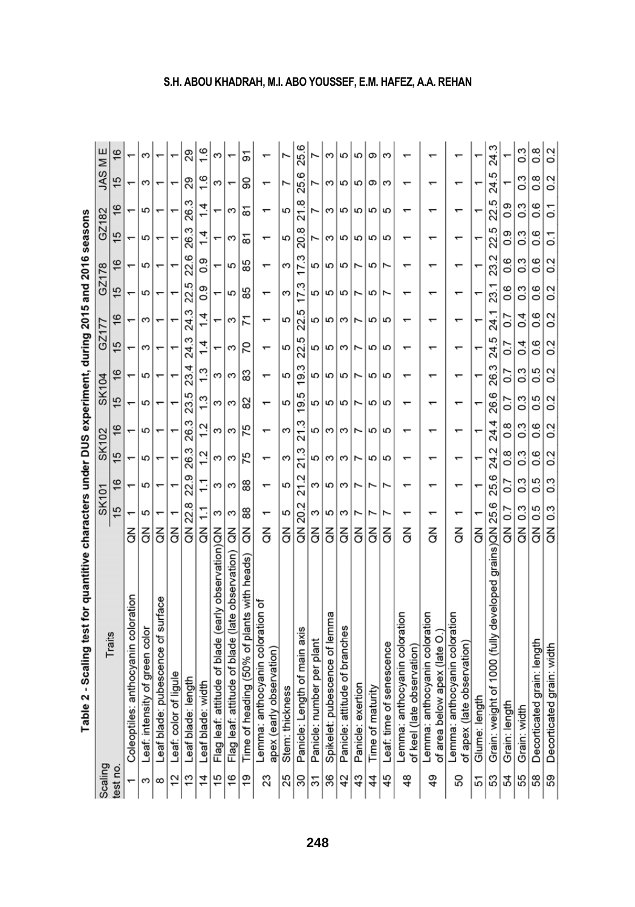|                | i apie z - scaling lest for quartitude characters under DOS experiment, quinq zo lo and zo lo seasons |                        |               |                                   |                  |                          |                  |                |                  |                  |               |                |                  |               |                  |
|----------------|-------------------------------------------------------------------------------------------------------|------------------------|---------------|-----------------------------------|------------------|--------------------------|------------------|----------------|------------------|------------------|---------------|----------------|------------------|---------------|------------------|
| Scaling        | Traits                                                                                                |                        | <b>SK101</b>  |                                   | <b>SK102</b>     |                          | <b>SK104</b>     | GZ1            | 177              | GZ178            |               | GZ182          |                  | JAS ME        |                  |
| est no.        |                                                                                                       |                        | 15            | 15<br>$\frac{6}{2}$               | $\frac{6}{2}$    | 15                       | $\frac{6}{5}$    | 15             | $\frac{6}{5}$    | $\frac{5}{1}$    | $\frac{6}{5}$ | 15             | $\frac{6}{5}$    | 15            | $\frac{6}{5}$    |
|                | Coleoptiles: anthocyanin coloration                                                                   | $\overline{5}$         |               |                                   |                  |                          |                  | $\overline{ }$ |                  | ÷                |               |                |                  |               |                  |
| ω              | Leaf: intensity of green color                                                                        | $\frac{2}{\sigma}$     | 5             | 5<br>5                            | 5                | 5                        | 5                | ε              | ς                | 5                | 5             | 5              | 5                | ς             |                  |
| 8              | Leaf blade: pubescence of surface                                                                     | 증                      |               |                                   |                  |                          |                  |                |                  |                  |               |                |                  |               |                  |
| 12             | Leaf: color of ligule                                                                                 | $\frac{2}{\sigma}$     |               |                                   |                  |                          |                  |                |                  |                  |               |                |                  |               |                  |
| 13             | Leaf blade: length                                                                                    | QN 22.8                |               | 26.3<br>22.9                      | 26.3             | 23.5                     | 23.4             | 24.3           | 24.3             | 22.5             | 22.6          | 26.3           | 26.3             | 29            | 29               |
| $\vec{4}$      | Leaf blade: width                                                                                     | $\overline{5}$         | $\ddot{ }$ :  | 1.2<br>$\tilde{=}$                | 1.2              | 1.3                      | 1.3              | 14             | $\dot{4}$        | 0.9              | 0.9           | 14             | $\dot{4}$        | $\frac{6}{1}$ | 1.6              |
| 15             | Flag leaf: attitude of blade (early observation)QN                                                    |                        | ო             | ω<br>ω                            | 3                | ω                        | ო                |                |                  |                  |               |                |                  | ω             | ω                |
| 97             | Flag leaf: attitude of blade (late observation) QN                                                    |                        | S             | ω<br>ε                            | ω                | ε                        | ς                | S              | ς                | 5                | 5             | S              | ω                |               |                  |
| <u>ღ</u>       | Time of heading (50% of plants with heads)                                                            | š                      | 88            | 75<br>88                          | 75               | 82                       | 83               | 70             | 71               | 85               | 85            | ္စြ            | ౚ                | 90            | 5                |
| 23             | Lemma: anthocyanin coloration of<br>apex (early observation)                                          | $\breve{\vec{\sigma}}$ |               | $\overline{\phantom{0}}$          |                  | $\overline{\phantom{0}}$ | ᠇                |                | ᠇                |                  |               |                |                  |               |                  |
| 25             | Stem: thickness                                                                                       | $\breve{\vec{c}}$      | 5             | ω<br>5                            | S                | 5                        | 5                | 5              | 5                | ω                | 3             | 5              | 5                |               |                  |
| 30             | Panicle: Length of main axis                                                                          | QN 20.2                |               | 21.3<br>21.2                      | 21.3             | 19.5                     | 19.3             | 22.5           | 22.5             | 17.3             | 17.3          | 20.8           | 21.8             | 25.6          | 25.6             |
| 31             | Panicle: number per plant                                                                             | $\overline{6}$         | S             | 5<br>ω                            | 5                | 5                        | 5                | 5              | 5                | 5                | 5             |                |                  |               |                  |
| 36             | Spikelet: pubescence of lemma                                                                         | 증                      | 5             | ω<br>5                            | S                | 5                        | 5                | 5              | 5                | 5                | 5             | ς              | ω                | ω             | S                |
| 42             | Panicle: attitude of branches                                                                         | $\mathsf{g}$           | ς             | ω<br>S                            | S                | 5                        | 5                | ς              | S                | 5                | 5             | 5              | 5                | 5             | 5                |
| 43             | Panicle: exertion                                                                                     | $\frac{2}{\rm d}$      |               | N                                 | r                | r                        |                  | r              | N                | $\overline{ }$   | r             | 5              | 5                | 5             | 5                |
| 44             | Time of maturity                                                                                      | $\frac{2}{\sigma}$     |               | 5                                 | 5                | 5                        | 5                | 5              | 5                | 5                | 5             | 5              | 5                | თ             | တ                |
| 45             | Leaf: time of senescence                                                                              | $\frac{2}{\rm d}$      |               | 5<br>Ľ                            | 5                | 5                        | 5                | 5              | 5                | r                | ٣             | 5              | 5                | ω             | ς                |
| $\frac{48}{5}$ | Lemma: anthocyanin coloration<br>of keel (late observation)                                           | $\frac{2}{\sigma}$     |               |                                   |                  |                          |                  |                |                  |                  |               |                |                  |               |                  |
| $\frac{49}{5}$ | Lemma: anthocyanin coloration<br>of area below apex (late O.                                          | $\breve{\vec{c}}$      |               |                                   |                  |                          |                  |                |                  |                  |               |                |                  |               |                  |
| 50             | Lemma: anthocyanin coloration<br>of apex (late observation)                                           | $\breve{\vec{c}}$      |               |                                   |                  |                          |                  |                |                  |                  |               |                |                  |               |                  |
| 51             | Glume: length                                                                                         | š                      |               |                                   |                  |                          |                  |                |                  |                  |               |                |                  |               |                  |
| 53             | Grain: weight of 1000 (fully developed grains)QN 25.6                                                 |                        |               | 24.2<br>25.6                      | 24.4             | 26.6                     | 26.3             | 24.5           | 24.1             | 23.1             | 23.2          | 22.5           | 22.5             | 24.5          | 24.3             |
| 54             | Grain: length                                                                                         | QN 0.7                 |               | $\frac{8}{2}$<br>$\overline{0.7}$ | $\frac{8}{2}$    | $\overline{0}$           | $\overline{0}$   | $\overline{0}$ | $\overline{0.7}$ | 0.6              | 0.6           | 0.9            | 0.9              |               |                  |
| 55             | Grain: width                                                                                          | $\vec{c}$              | $\frac{3}{2}$ | 0.3<br>$0.\overline{3}$           | $0.\overline{3}$ | $\frac{3}{2}$            | $0.\overline{3}$ | 0.4            | 0.4              | $0.\overline{3}$ | $\frac{3}{2}$ | 0.3            | 0.3              | $\frac{3}{2}$ | $0.\overline{3}$ |
| 58             | Decorticated grain: length                                                                            | QN 0.5                 |               | 0.6<br>0.5                        | 0.6              | 0.5                      | 0.5              | 8.0            | 0.6              | 0.6              | 0.6           | 0.6            | 0.6              | 8.O           | 8.0              |
| 59             | Decorticated grain: width                                                                             | QN 0.3                 |               | 0.2<br>$0.\overline{3}$           | 0.2              | 0.2                      | $\sim$           | 0.2            | 0.2              | 0.2              | 0.2           | $\overline{0}$ | $\overline{0}$ . | 0.2           | 0.2              |

# **2006 PM 2016** ï ĵ į nus. Í. j å Tahle 7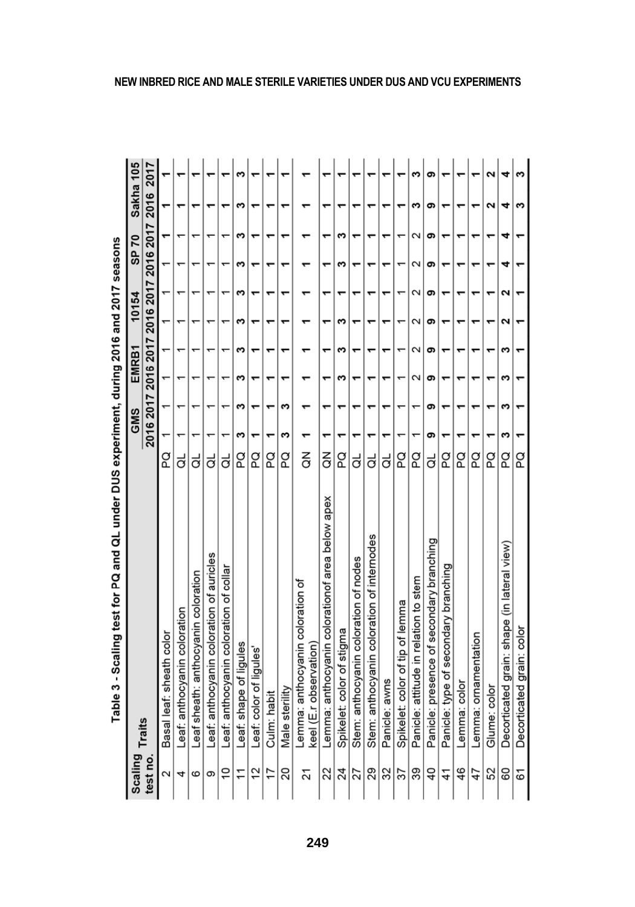|                       | apie > - > calling test for PQ and QL under DDS experiment, during 2016 and 2016 and 2017 seasons |                        |     |   |       |   |       |   |                                                   |   |           |
|-----------------------|---------------------------------------------------------------------------------------------------|------------------------|-----|---|-------|---|-------|---|---------------------------------------------------|---|-----------|
| <b>Scaling Traits</b> |                                                                                                   |                        | GMS |   | EMRB1 |   | 10154 |   | SP 70                                             |   | Sakha 105 |
| test no               |                                                                                                   |                        |     |   |       |   |       |   | 2016 2017 2016 2017 2016 2017 2016 2017 2016 2017 |   |           |
| 2                     | Basal leaf: sheath color                                                                          | g                      |     |   |       |   |       |   |                                                   |   |           |
| 4                     | Leaf: anthocyanin coloration                                                                      | ಕ                      |     |   |       |   |       |   |                                                   |   |           |
| ဖ                     | Leaf sheath: anthocyanin coloration                                                               | ಕ                      |     |   |       |   |       |   |                                                   |   |           |
| တ                     | Leaf: anthocyanin coloration of auricles                                                          | ಕ                      |     |   |       |   |       |   |                                                   |   |           |
| $\overline{0}$        | Leaf: anthocyanin coloration of collar                                                            | ಕ                      |     |   |       |   |       |   |                                                   |   |           |
| 11                    | Leaf: shape of liqules                                                                            | g                      | s   | ω | ω     | S | ω     | s | w<br>ω                                            | ∾ | ω         |
| 12                    | Leaf: color of ligules                                                                            | g                      |     |   |       |   |       |   |                                                   |   |           |
| 17                    | Culm: habit                                                                                       | q                      |     |   |       |   |       |   |                                                   |   |           |
| 20                    | Male sterility                                                                                    | g                      | ∾   | ω |       | ᡪ | ᡪ     |   |                                                   |   |           |
| 21                    | Lemma: anthocyanin coloration of<br>keel (E.r observation)                                        | $\breve{\vec{\sigma}}$ |     |   |       |   |       |   |                                                   |   |           |
| 22                    | Lemma: anthocyanin colorationof area below apex                                                   | $\frac{2}{\sigma}$     |     |   |       |   |       |   |                                                   |   |           |
| 24                    | Spikelet: color of stigma                                                                         | g                      | ۳   |   | ω     | ω | ω     |   | ς<br>ς                                            |   |           |
| 27                    | Stem: anthocyanin coloration of nodes                                                             | ಕ                      |     |   |       |   |       |   |                                                   |   |           |
| 29                    | Stem: anthocyanin coloration of internodes                                                        | ಕ                      |     |   |       |   |       |   |                                                   |   |           |
| 32                    | Panicle: awns                                                                                     | ಕ                      |     |   |       |   |       |   |                                                   |   |           |
| 57                    | Spikelet: color of tip of lemma                                                                   | g                      |     |   |       |   |       |   |                                                   |   |           |
| 39                    | Panicle: attitude in relation to stem                                                             | q                      |     |   | Σ     | Σ | Σ     | Σ | Σ<br>Ν                                            | ∾ | ∾         |
| $\overline{40}$       | Panicle: presence of secondary branching                                                          | ಕ                      | თ   | თ | စာ    | თ | စာ    | თ | စာ<br>თ                                           | თ | စာ        |
| 41                    | Panicle: type of secondary branching                                                              | g                      |     |   |       |   |       |   |                                                   |   |           |
| 46                    | Lemma: color                                                                                      | g                      |     |   |       |   |       |   |                                                   |   |           |
| 47                    | Lemma: ornamentation                                                                              | g                      |     |   |       |   |       |   |                                                   |   |           |
| 52                    | Glume: color                                                                                      | g                      |     |   |       |   |       |   |                                                   | Ν | Ν         |
| 80                    | Decorticated grain: shape (in lateral view)                                                       | g                      | ω   | s | ω     | S | 2     | ຼ | 4<br>4                                            | 4 | 4         |
| 61                    | Decorticated grain: color                                                                         | g                      |     |   |       |   |       |   |                                                   | 3 | w         |
|                       |                                                                                                   |                        |     |   |       |   |       |   |                                                   |   |           |

Truck **DNO DIR** ā န့ ś Ì, ò Table 2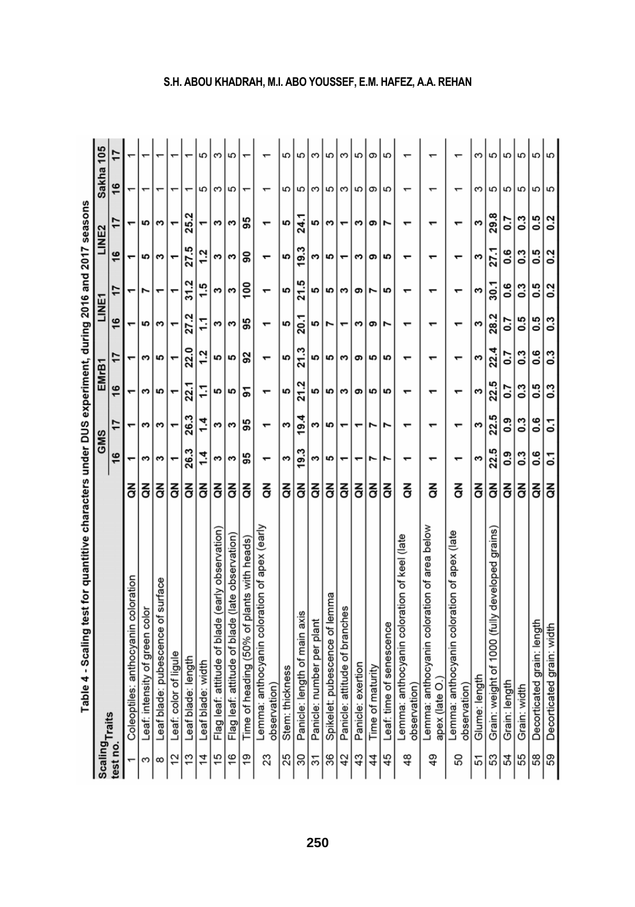|                | Table 4 - Scaling test for quantitive characters under DUS experiment, during 2016 and 2017 seasons |   |             |            |            |            |       |                  |            |                  |           |   |
|----------------|-----------------------------------------------------------------------------------------------------|---|-------------|------------|------------|------------|-------|------------------|------------|------------------|-----------|---|
|                | <b>Scaling<sub>Traits</sub></b>                                                                     |   | <b>GMS</b>  |            | EMrB1      |            | LINE7 |                  | LINE2      |                  | Sakha 105 |   |
| est no.        |                                                                                                     |   | 16          | 17         | 16         | 17         | 16    | 17               | 16         | 17               | 16        |   |
|                | Coleoptiles: anthocyanin coloration                                                                 | る |             |            |            |            |       |                  |            |                  |           |   |
| 3              | Leaf: intensity of green color                                                                      | る | s           | s          | S          | ω          | 5     |                  | 5          | 5                |           |   |
| $\infty$       | Leaf blade: pubescence of surface                                                                   | 중 | s           | ω          | <u> ဟ</u>  | 5          | ω     |                  | w          | w                |           |   |
| 12             | Leaf: color of ligule                                                                               | 중 |             |            |            |            |       |                  |            |                  |           |   |
| 13             | Leaf blade: length                                                                                  | 중 | 26.3        | 26.3       | 22.1       | 22.0       | 27.2  | 31.2             | 27.5       | 25.2             |           |   |
| $\frac{4}{3}$  | Leaf blade: width                                                                                   | る | 14          | $\ddot{ }$ | 11         | $\ddot{.}$ | 11    | 1.5              | 12         |                  | 5         | 5 |
| 15             | Flag leaf: attitude of blade (early observation)                                                    | る | s           | ω          | <b>S</b>   | 5          | ω     | s                | ω          | ω                | S         | ς |
| $\frac{6}{5}$  | Flag leaf: attitude of blade (late observation)                                                     | 중 | S           | S          | 5          | 5          | S     | S                | S          | S                | 5         | 5 |
| $\frac{6}{2}$  | Time of heading (50% of plants with heads)                                                          | る | 95          | 95         | ᡖ          | 92         | 95    | $\frac{8}{2}$    | န္တ        | 95               |           |   |
| 23             | Lemma: anthocyanin coloration of apex (early<br>observation                                         | 중 |             |            |            |            |       |                  |            |                  |           |   |
| 25             | Stem: thickness                                                                                     | る | s           | ω          | 5          | 5          | 5     | 5                | 5          | 5                | 5         | 5 |
| 30             | Panicle: length of main axis                                                                        | 중 | 19.3        | 19.4       | 21.2       | 21.3       | 20.1  | 21.5             | 19.3       | 24.1             | 5         | 5 |
| $\overline{3}$ | Panicle: number per plant                                                                           | る | s           | ω          | 5          | 5          | 5     | 5                | ω          | <b>S</b>         | S         | က |
| 36             | Spikelet: pubescence of lemma                                                                       | 중 | 5           | 5          | 5          | 5          | Z     | 5                | 5          | S                | 5         | 5 |
| 42             | Panicle: attitude of branches                                                                       | る |             |            | S          | ς          |       | S                |            |                  | S         | ω |
| 43             | Panicle: exertion                                                                                   | 중 |             |            | თ          | თ          | ω     | თ                | ω          | ω                | 5         | 5 |
| 4              | Time of maturity                                                                                    | 중 | r           |            | 5          | 5          | თ     | r                | თ          | თ                | თ         | თ |
| 45             | Leaf: time of senescence                                                                            | 중 | r           |            | <b>SC</b>  | <b>SC</b>  | Z     | 5                | <b>SC</b>  | ۴                | 5         | 5 |
| 48             | Lemma: anthocyanin coloration of keel (late<br>observation                                          | 중 |             |            |            |            |       |                  |            |                  |           |   |
| 49             | Lemma: anthocyanin coloration of area below<br>apex (late O.                                        | る |             |            |            |            |       |                  |            |                  |           |   |
| 50             | Lemma: anthocyanin coloration of apex (late<br>observation                                          | 중 |             |            |            |            | ᠇     |                  |            |                  |           |   |
| 51             | Glume: length                                                                                       | 중 | S           | S          | s          | s          | S     | s                | s          | S                | ω         | ω |
| 53             | Grain: weight of 1000 (fully developed grains)                                                      | 중 | 22.5        | 22.5       | 22.5       | 22.4       | 28.2  | 30.1             | 27.1       | 29.8             | 5         | 5 |
| 54             | Grain: length                                                                                       | 중 | <b>e</b> :0 | °0.        | 5.0        | 5.0        | 50    | 9.6              | 9.6        | $\overline{0}$   | 5         | 5 |
| 55             | Grain: width                                                                                        | 중 | 3           | $\ddot{0}$ | <b>C:0</b> | $\ddot{0}$ | 0.5   | 0.3              | <b>C:0</b> | <b>C.O</b>       | 5         | 5 |
| 58             | Decorticated grain: length                                                                          | る | <b>9.0</b>  | 0.6        | <b>G.5</b> | <b>0.6</b> | 0.5   | <b>.5</b>        | 0.5        | 0.5              | 5         | 5 |
| 59             | Decorticated grain: width                                                                           | 중 | ្ច          | 2          | <b>C:0</b> | 0.3        | 0.3   | $\overline{0.2}$ | 0.2        | $\overline{0}$ . | 5         | 5 |

## **S.H. ABOU KHADRAH, M.I. ABO YOUSSEF, E.M. HAFEZ, A.A. REHAN**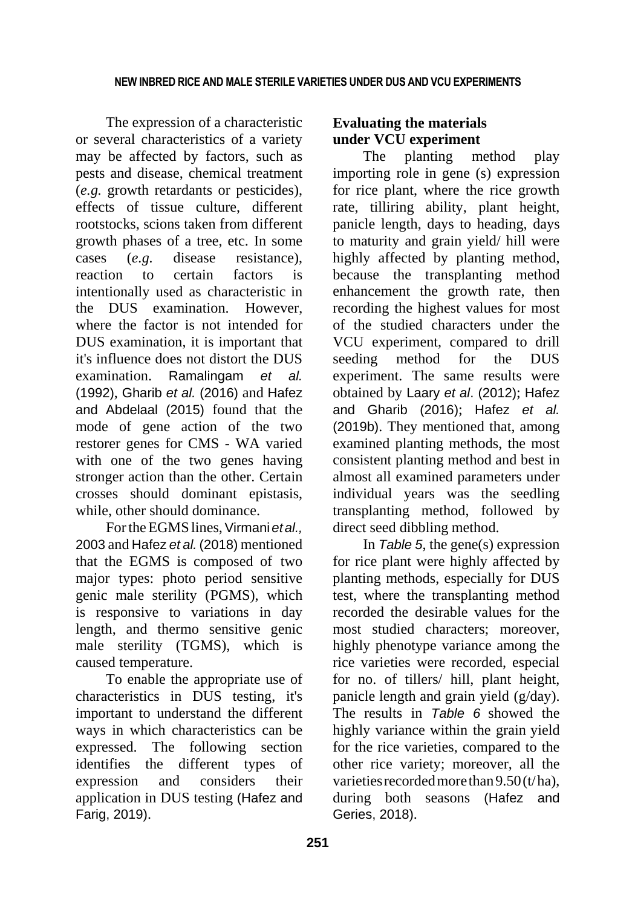The expression of a characteristic or several characteristics of a variety may be affected by factors, such as pests and disease, chemical treatment (*e.g.* growth retardants or pesticides), effects of tissue culture, different rootstocks, scions taken from different growth phases of a tree, etc. In some cases (*e.g.* disease resistance), reaction to certain factors is intentionally used as characteristic in the DUS examination. However, where the factor is not intended for DUS examination, it is important that it's influence does not distort the DUS examination. Ramalingam *et al.* (1992), Gharib *et al.* (2016) and Hafez and Abdelaal (2015) found that the mode of gene action of the two restorer genes for CMS - WA varied with one of the two genes having stronger action than the other. Certain crosses should dominant epistasis, while, other should dominance.

For the EGMS lines, Virmani *et al.*, 2003 and Hafez *et al.* (2018) mentioned that the EGMS is composed of two major types: photo period sensitive genic male sterility (PGMS), which is responsive to variations in day length, and thermo sensitive genic male sterility (TGMS), which is caused temperature.

To enable the appropriate use of characteristics in DUS testing, it's important to understand the different ways in which characteristics can be expressed. The following section identifies the different types of expression and considers their application in DUS testing (Hafez and Farig, 2019).

## **Evaluating the materials under VCU experiment**

The planting method play importing role in gene (s) expression for rice plant, where the rice growth rate, tilliring ability, plant height, panicle length, days to heading, days to maturity and grain yield/ hill were highly affected by planting method, because the transplanting method enhancement the growth rate, then recording the highest values for most of the studied characters under the VCU experiment, compared to drill seeding method for the DUS experiment. The same results were obtained by Laary *et al*. (2012); Hafez and Gharib (2016); Hafez *et al.* (2019b). They mentioned that, among examined planting methods, the most consistent planting method and best in almost all examined parameters under individual years was the seedling transplanting method, followed by direct seed dibbling method.

In *Table 5*, the gene(s) expression for rice plant were highly affected by planting methods, especially for DUS test, where the transplanting method recorded the desirable values for the most studied characters; moreover, highly phenotype variance among the rice varieties were recorded, especial for no. of tillers/ hill, plant height, panicle length and grain yield (g/day). The results in *Table 6* showed the highly variance within the grain yield for the rice varieties, compared to the other rice variety; moreover, all the varieties recorded more than  $9.50(t/ha)$ , during both seasons (Hafez and Geries, 2018).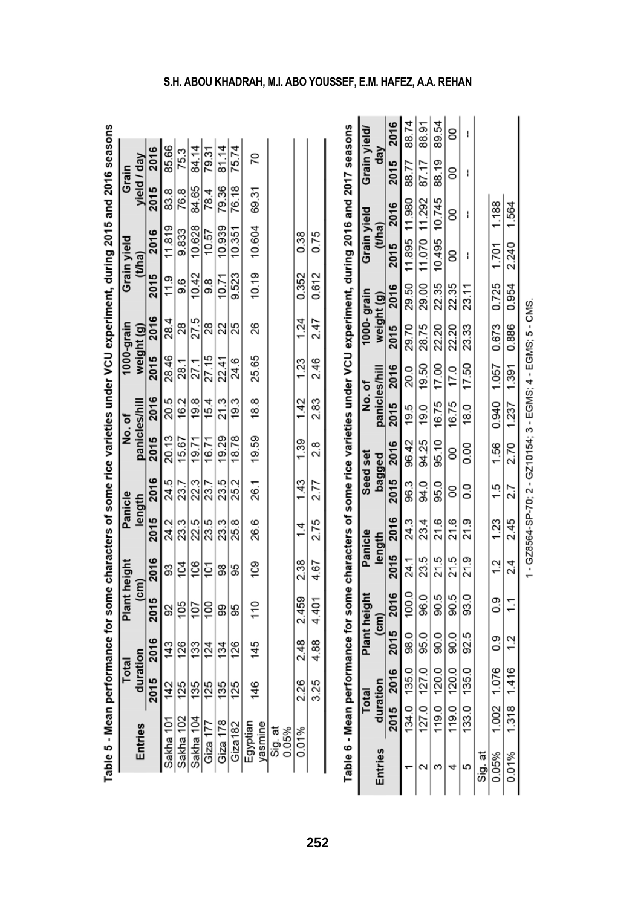|                     |          | Total | Plant height    |      |      | Panicle | No.of         |      |            | 1000-grain |           | Grain vield | Grain |             |
|---------------------|----------|-------|-----------------|------|------|---------|---------------|------|------------|------------|-----------|-------------|-------|-------------|
| Entries             | duration |       | $\epsilon$ m)   |      |      | length  | panicles/hill |      | weight (g) |            |           | (t/ha)      |       | yield / day |
|                     | 2015     | 2016  | 2015            | 2016 | 2015 | 2016    | 2015          | 2016 | 2015       | 2016       | 2015      | 2016        | 2015  | 2016        |
| Sakha 101           | 142      | 143   | 92              | 33   | 24.2 | 24.5    | 20.13         | 20.5 | 28.46      | 28.4       | 11.9      | 11.819      | 83.8  | 85.66       |
| Sakha 102           | 125      | 126   | 105             | 104  | 23.3 | 23.7    | 15.67         | 16.2 | 28.1       | 28         | 9.6       | 9.833       | 76.8  | 75.3        |
| Sakha 104           | 135      | 133   | 107             | 106  | 22.5 | 22.3    | 19.71         | 19.8 | 27.1       | 27.5       | 10.42     | 10.628      | 84.65 | 84.14       |
| Giza $177$          | 125      | 124   | $\overline{00}$ | ξ    | 23.5 | 23.7    | 16.71         | 15.4 | 27.15      | 28         | <u>ထိ</u> | 10.57       | 78.4  | 79.31       |
| Giza 178            | 135      | 134   | 99              | 88   | 23.3 | 23.5    | 19.29         | 21.3 | 22.41      | 22         | 10.71     | 10.939      | 79.36 | 81.14       |
| Giza182             | 125      | 126   | 95              | 95   | 25.8 | 25.2    | 18.78         | 19.3 | 24.6       | 25         | 9.523     | 10.351      | 76.18 | 75.74       |
| Egyptian<br>yasmine | 146      | 145   | 110             | 109  | 26.6 | 26.1    | 19.59         | 18.8 | 25.65      | 8          | 10.19     | 10.604      | 69.31 | 20          |
| Sig. at<br>0.05%    |          |       |                 |      |      |         |               |      |            |            |           |             |       |             |
| 0.01%               | 2.26     | 2.48  | 2.459           | 2.38 | 1.4  | 1.43    | 1.39          | 1.42 | 1.23       | 1.24       | 0.352     | 0.38        |       |             |
|                     | 3.25     | 4.88  | 4.401           | 4.67 | 2.75 | 2.77    | 2.8           | 2.83 | 2.46       | 2.47       | 0.612     | 0.75        |       |             |

| .<br>ا                   |
|--------------------------|
|                          |
|                          |
|                          |
|                          |
|                          |
|                          |
|                          |
|                          |
|                          |
|                          |
|                          |
|                          |
| Elli                     |
|                          |
|                          |
|                          |
|                          |
|                          |
|                          |
|                          |
|                          |
|                          |
|                          |
|                          |
|                          |
|                          |
|                          |
|                          |
|                          |
| $\overline{\phantom{a}}$ |
| :<br>ירו                 |
|                          |
|                          |
|                          |
|                          |
|                          |
|                          |
|                          |
|                          |
|                          |
|                          |
|                          |
|                          |
|                          |
|                          |
|                          |
|                          |
|                          |
|                          |
|                          |
|                          |
|                          |
|                          |
|                          |
|                          |
|                          |
|                          |
|                          |
|                          |
|                          |
|                          |
|                          |
|                          |
|                          |
|                          |
|                          |
|                          |
|                          |
|                          |
|                          |
|                          |
|                          |
|                          |
|                          |
|                          |
|                          |
|                          |
|                          |
|                          |
|                          |
|                          |
|                          |
|                          |
|                          |
|                          |
|                          |
|                          |
|                          |
|                          |
|                          |
|                          |
|                          |
|                          |
| =<br>Munici              |
|                          |
|                          |
|                          |
| ole 5                    |

| ֺ֚       |
|----------|
|          |
|          |
|          |
|          |
|          |
|          |
|          |
|          |
|          |
|          |
|          |
|          |
|          |
|          |
|          |
|          |
|          |
|          |
|          |
| $\vdots$ |
|          |
|          |
|          |
| i<br>l   |
|          |

| Table 6 - Mean performance for some characters of some rice varieties under VCU experiment, during 2016 and 2017 seasons |                                                                     |              |      |                                         |           |         |                   |          |               |                  |            |            |               |           |               |              |
|--------------------------------------------------------------------------------------------------------------------------|---------------------------------------------------------------------|--------------|------|-----------------------------------------|-----------|---------|-------------------|----------|---------------|------------------|------------|------------|---------------|-----------|---------------|--------------|
|                                                                                                                          |                                                                     | <b>Total</b> |      | Plant height                            |           | Panicle |                   | Seed set | No.of         |                  |            | 1000-grain | Grain yield   |           | Grain yield/  |              |
| <b>Entries</b>                                                                                                           | duration                                                            |              |      | $\epsilon$ m                            | length    |         |                   | bagged   | panicles/hill |                  | weight (g) |            | (t/ha)        |           | $\frac{2}{3}$ |              |
|                                                                                                                          |                                                                     |              |      | 2015 2016 2015 2016 2015 2016 2015 2016 |           |         |                   |          |               | 2015 2016        | 2015       | 2016       |               | 2015 2016 | 2015          | 2016         |
|                                                                                                                          | 134.0                                                               | 135.0        | 98.0 |                                         | 100.024.1 | 24.3    | 96.3              | 96.42    | 19.5          | $\frac{1}{20.0}$ | 29.70      | 29.50      | 11.895        | 11.980    | 88.77         | 88.74        |
|                                                                                                                          | 127.0                                                               | 127.0        | 95.0 | 96.0                                    | 23.5      | 23.4    | 94.0              | 94.25    | 19.0          | 19.50            | 28.75      | 29.00      | 11.070        | 11.292    | 87.17         | 88.91        |
| m                                                                                                                        | 119.0                                                               | 120.0        | 90.0 | 90.5                                    | 21.5      | 21.6    | 95.0              |          | 95.10 16.75   | 17.00            | 22.20      | 22.35      | 10.495 10.745 |           | 88.19         | 89.54        |
|                                                                                                                          | 119.0                                                               | 120.0        | 90.0 | 90.5                                    | 21.5      | 21.6    | 8                 | 8        | 16.75         | 17.0             | 22.20      | 22.35      | 8             | 8         | 8             | $\mathsf{S}$ |
| မာ                                                                                                                       | 133.0                                                               | 135.0        | 92.5 | 93.0                                    | 21.9      | 21.9    | $\overline{0}$ .0 | 0.00     | 18.0          | 17.50            | 23.33      | 23.11      | I             | ı         |               |              |
| Sig. at                                                                                                                  |                                                                     |              |      |                                         |           |         |                   |          |               |                  |            |            |               |           |               |              |
| 0.05% 1.002 1.076 0.9 0.9 1.2 1.23 1.56 0.940 1.057 0.673 0.725 1.701 1.188                                              |                                                                     |              |      |                                         |           |         |                   |          |               |                  |            |            |               |           |               |              |
| 0.01%                                                                                                                    | 1.318 1.416 1.2 1.1 2.4 2.45 2.7 2.70 1.237 1.391 0.886 0.954 2.240 |              |      |                                         |           |         |                   |          |               |                  |            |            |               | 1.564     |               |              |
|                                                                                                                          |                                                                     |              |      |                                         |           |         |                   |          |               |                  |            |            |               |           |               |              |

1 - GZ8564-SP-70; 2 - GZ10154; 3 - EGMS; 4 - EGMS; 5 - CMS.

## **S.H. ABOU KHADRAH, M.I. ABO YOUSSEF, E.M. HAFEZ, A.A. REHAN**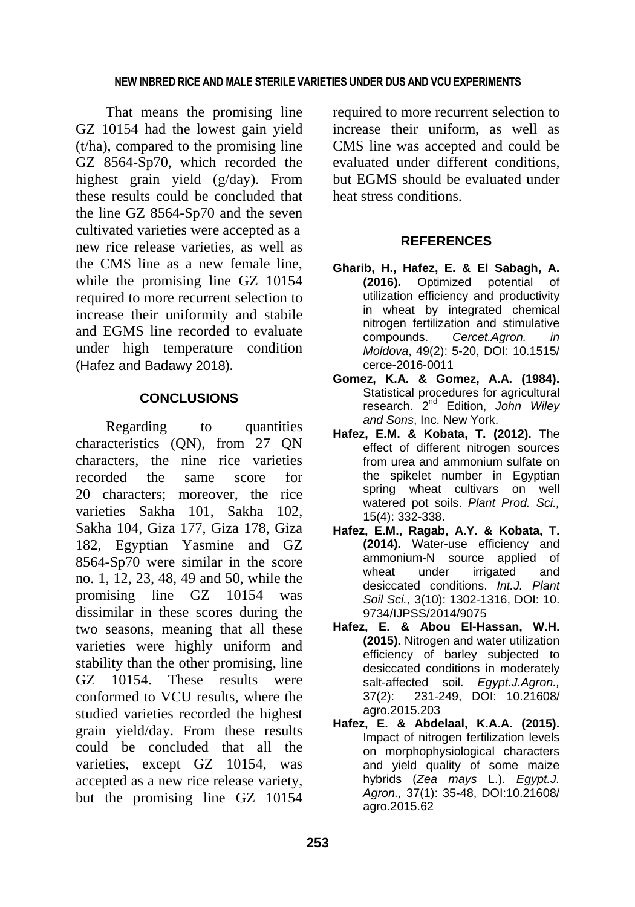### **NEW INBRED RICE AND MALE STERILE VARIETIES UNDER DUS AND VCU EXPERIMENTS**

That means the promising line GZ 10154 had the lowest gain yield (t/ha), compared to the promising line GZ 8564-Sp70, which recorded the highest grain yield (g/day). From these results could be concluded that the line GZ 8564-Sp70 and the seven cultivated varieties were accepted as a new rice release varieties, as well as the CMS line as a new female line, while the promising line GZ 10154 required to more recurrent selection to increase their uniformity and stabile and EGMS line recorded to evaluate under high temperature condition (Hafez and Badawy 2018).

## **CONCLUSIONS**

Regarding to quantities characteristics (QN), from 27 QN characters, the nine rice varieties recorded the same score for 20 characters; moreover, the rice varieties Sakha 101, Sakha 102, Sakha 104, Giza 177, Giza 178, Giza 182, Egyptian Yasmine and GZ 8564-Sp70 were similar in the score no. 1, 12, 23, 48, 49 and 50, while the promising line GZ 10154 was dissimilar in these scores during the two seasons, meaning that all these varieties were highly uniform and stability than the other promising, line GZ 10154. These results were conformed to VCU results, where the studied varieties recorded the highest grain yield/day. From these results could be concluded that all the varieties, except GZ 10154, was accepted as a new rice release variety, but the promising line GZ 10154

required to more recurrent selection to increase their uniform, as well as CMS line was accepted and could be evaluated under different conditions, but EGMS should be evaluated under heat stress conditions.

## **REFERENCES**

- **Gharib, H., Hafez, E. & El Sabagh, A. (2016).** Optimized potential of utilization efficiency and productivity in wheat by integrated chemical nitrogen fertilization and stimulative compounds. *Cercet.Agron. in Moldova*, 49(2): 5-20, DOI: 10.1515/ cerce-2016-0011
- **Gomez, K.A. & Gomez, A.A. (1984).** Statistical procedures for agricultural research. 2nd Edition, *John Wiley and Sons*, Inc. New York.
- **Hafez, E.M. & Kobata, T. (2012).** The effect of different nitrogen sources from urea and ammonium sulfate on the spikelet number in Egyptian spring wheat cultivars on well watered pot soils. *Plant Prod. Sci.,* 15(4): 332-338.
- **Hafez, E.M., Ragab, A.Y. & Kobata, T. (2014).** Water-use efficiency and ammonium-N source applied of wheat under irrigated and desiccated conditions. *Int.J. Plant Soil Sci.,* 3(10): 1302-1316, DOI: 10. 9734/IJPSS/2014/9075
- **Hafez, E. & Abou El-Hassan, W.H. (2015).** Nitrogen and water utilization efficiency of barley subjected to desiccated conditions in moderately salt-affected soil. *Egypt.J.Agron.,* 37(2): 231-249, DOI: 10.21608/ agro.2015.203
- **Hafez, E. & Abdelaal, K.A.A. (2015).** Impact of nitrogen fertilization levels on morphophysiological characters and yield quality of some maize hybrids (*Zea mays* L.). *Egypt.J. Agron.,* 37(1): 35-48, DOI:10.21608/ agro.2015.62